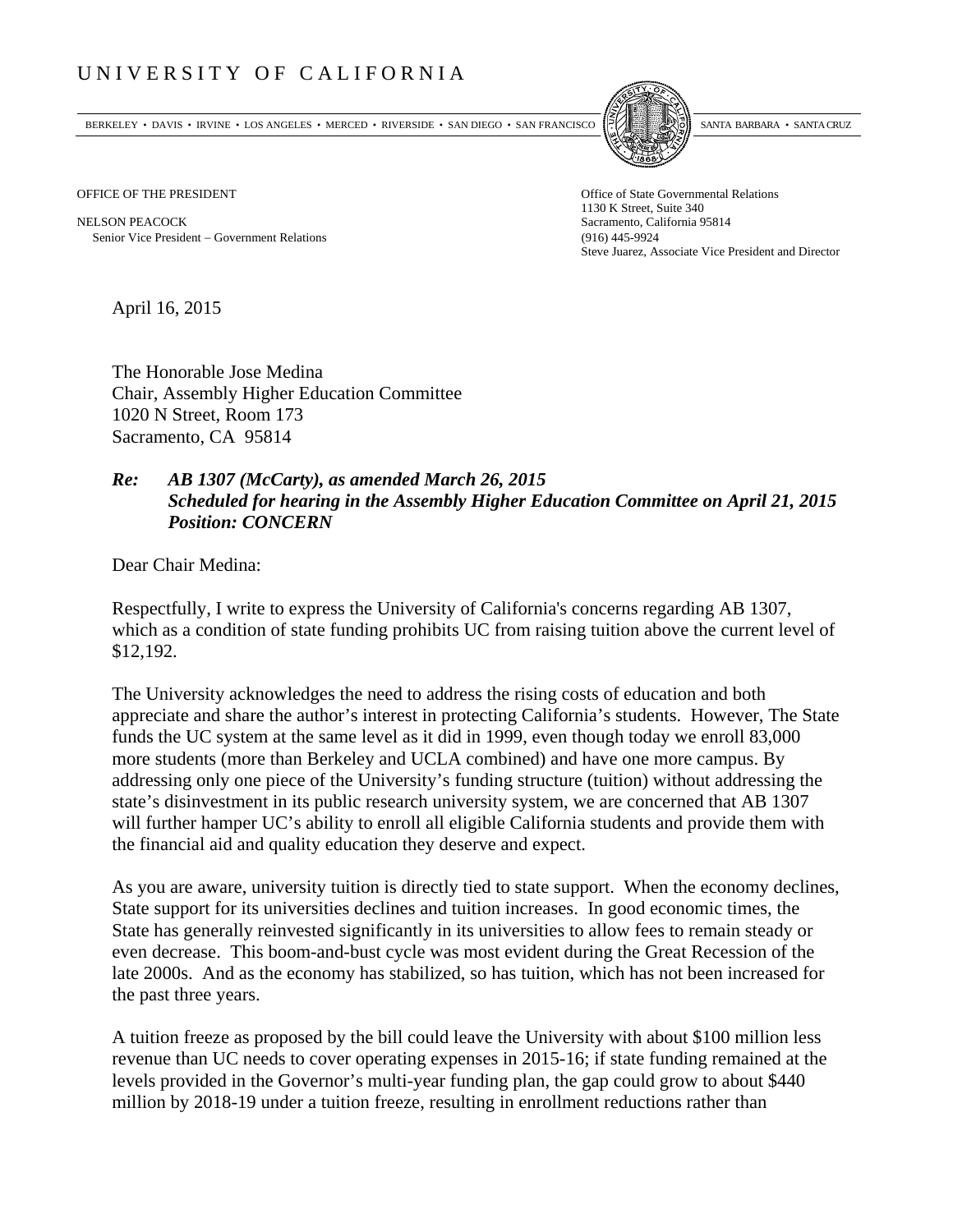## UNIVERSITY OF CALIFORNIA

BERKELEY • DAVIS • IRVINE • LOS ANGELES • MERCED • RIVERSIDE • SAN DIEGO • SAN FRANCISCO SANTA BARBARA • SANTA CRUZ



OFFICE OF THE PRESIDENT STATES OF THE PRESIDENT

NELSON PEACOCK Sacramento, California 95814 Senior Vice President Government Relations (916) 445-9924

1130 K Street, Suite 340 Steve Juarez, Associate Vice President and Director

April 16, 2015

The Honorable Jose Medina Chair, Assembly Higher Education Committee 1020 N Street, Room 173 Sacramento, CA 95814

## *Re: AB 1307 (McCarty), as amended March 26, 2015 Scheduled for hearing in the Assembly Higher Education Committee on April 21, 2015 Position: CONCERN*

Dear Chair Medina:

Respectfully, I write to express the University of California's concerns regarding AB 1307, which as a condition of state funding prohibits UC from raising tuition above the current level of \$12,192.

The University acknowledges the need to address the rising costs of education and both appreciate and share the author's interest in protecting California's students. However, The State funds the UC system at the same level as it did in 1999, even though today we enroll 83,000 more students (more than Berkeley and UCLA combined) and have one more campus. By addressing only one piece of the University's funding structure (tuition) without addressing the state's disinvestment in its public research university system, we are concerned that AB 1307 will further hamper UC's ability to enroll all eligible California students and provide them with the financial aid and quality education they deserve and expect.

As you are aware, university tuition is directly tied to state support. When the economy declines, State support for its universities declines and tuition increases. In good economic times, the State has generally reinvested significantly in its universities to allow fees to remain steady or even decrease. This boom-and-bust cycle was most evident during the Great Recession of the late 2000s. And as the economy has stabilized, so has tuition, which has not been increased for the past three years.

A tuition freeze as proposed by the bill could leave the University with about \$100 million less revenue than UC needs to cover operating expenses in 2015-16; if state funding remained at the levels provided in the Governor's multi-year funding plan, the gap could grow to about \$440 million by 2018-19 under a tuition freeze, resulting in enrollment reductions rather than